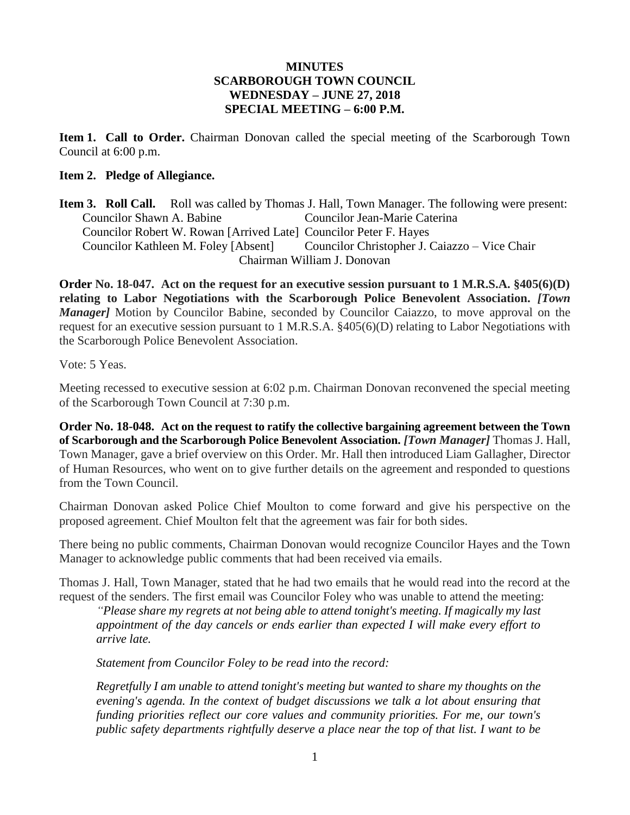## **MINUTES SCARBOROUGH TOWN COUNCIL WEDNESDAY – JUNE 27, 2018 SPECIAL MEETING – 6:00 P.M.**

**Item 1. Call to Order.** Chairman Donovan called the special meeting of the Scarborough Town Council at 6:00 p.m.

## **Item 2. Pledge of Allegiance.**

**Item 3. Roll Call.** Roll was called by Thomas J. Hall, Town Manager. The following were present: Councilor Shawn A. Babine Councilor Jean-Marie Caterina Councilor Robert W. Rowan [Arrived Late] Councilor Peter F. Hayes Councilor Kathleen M. Foley [Absent] Councilor Christopher J. Caiazzo – Vice Chair Chairman William J. Donovan

**Order No. 18-047. Act on the request for an executive session pursuant to 1 M.R.S.A. §405(6)(D) relating to Labor Negotiations with the Scarborough Police Benevolent Association.** *[Town Manager]* Motion by Councilor Babine, seconded by Councilor Caiazzo, to move approval on the request for an executive session pursuant to 1 M.R.S.A. §405(6)(D) relating to Labor Negotiations with the Scarborough Police Benevolent Association.

Vote: 5 Yeas.

Meeting recessed to executive session at 6:02 p.m. Chairman Donovan reconvened the special meeting of the Scarborough Town Council at 7:30 p.m.

**Order No. 18-048. Act on the request to ratify the collective bargaining agreement between the Town of Scarborough and the Scarborough Police Benevolent Association.** *[Town Manager]* Thomas J. Hall, Town Manager, gave a brief overview on this Order. Mr. Hall then introduced Liam Gallagher, Director of Human Resources, who went on to give further details on the agreement and responded to questions from the Town Council.

Chairman Donovan asked Police Chief Moulton to come forward and give his perspective on the proposed agreement. Chief Moulton felt that the agreement was fair for both sides.

There being no public comments, Chairman Donovan would recognize Councilor Hayes and the Town Manager to acknowledge public comments that had been received via emails.

Thomas J. Hall, Town Manager, stated that he had two emails that he would read into the record at the request of the senders. The first email was Councilor Foley who was unable to attend the meeting:

*"Please share my regrets at not being able to attend tonight's meeting. If magically my last appointment of the day cancels or ends earlier than expected I will make every effort to arrive late.*

*Statement from Councilor Foley to be read into the record:*

*Regretfully I am unable to attend tonight's meeting but wanted to share my thoughts on the evening's agenda. In the context of budget discussions we talk a lot about ensuring that funding priorities reflect our core values and community priorities. For me, our town's public safety departments rightfully deserve a place near the top of that list. I want to be*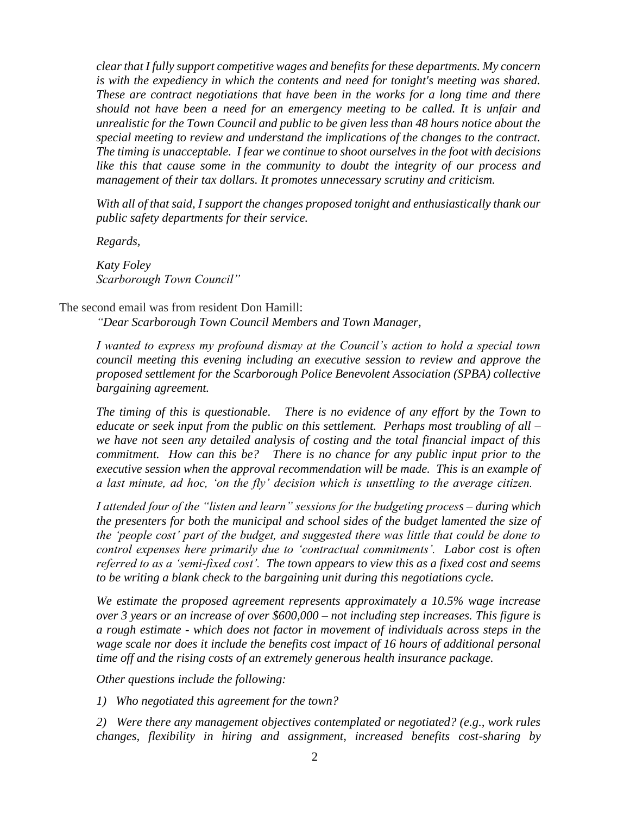*clear that I fully support competitive wages and benefits for these departments. My concern is with the expediency in which the contents and need for tonight's meeting was shared. These are contract negotiations that have been in the works for a long time and there should not have been a need for an emergency meeting to be called. It is unfair and unrealistic for the Town Council and public to be given less than 48 hours notice about the special meeting to review and understand the implications of the changes to the contract. The timing is unacceptable. I fear we continue to shoot ourselves in the foot with decisions like this that cause some in the community to doubt the integrity of our process and management of their tax dollars. It promotes unnecessary scrutiny and criticism.*

*With all of that said, I support the changes proposed tonight and enthusiastically thank our public safety departments for their service.*

*Regards,*

*Katy Foley Scarborough Town Council"*

The second email was from resident Don Hamill:

*"Dear Scarborough Town Council Members and Town Manager,*

*I wanted to express my profound dismay at the Council's action to hold a special town council meeting this evening including an executive session to review and approve the proposed settlement for the Scarborough Police Benevolent Association (SPBA) collective bargaining agreement.*

*The timing of this is questionable. There is no evidence of any effort by the Town to educate or seek input from the public on this settlement. Perhaps most troubling of all – we have not seen any detailed analysis of costing and the total financial impact of this commitment. How can this be? There is no chance for any public input prior to the executive session when the approval recommendation will be made. This is an example of a last minute, ad hoc, 'on the fly' decision which is unsettling to the average citizen.* 

*I attended four of the "listen and learn" sessions for the budgeting process – during which the presenters for both the municipal and school sides of the budget lamented the size of the 'people cost' part of the budget, and suggested there was little that could be done to control expenses here primarily due to 'contractual commitments'. Labor cost is often referred to as a 'semi-fixed cost'. The town appears to view this as a fixed cost and seems to be writing a blank check to the bargaining unit during this negotiations cycle.* 

*We estimate the proposed agreement represents approximately a 10.5% wage increase over 3 years or an increase of over \$600,000 – not including step increases. This figure is a rough estimate - which does not factor in movement of individuals across steps in the*  wage scale nor does it include the benefits cost impact of 16 hours of additional personal *time off and the rising costs of an extremely generous health insurance package.* 

*Other questions include the following:*

*1) Who negotiated this agreement for the town?*

*2) Were there any management objectives contemplated or negotiated? (e.g., work rules changes, flexibility in hiring and assignment, increased benefits cost-sharing by*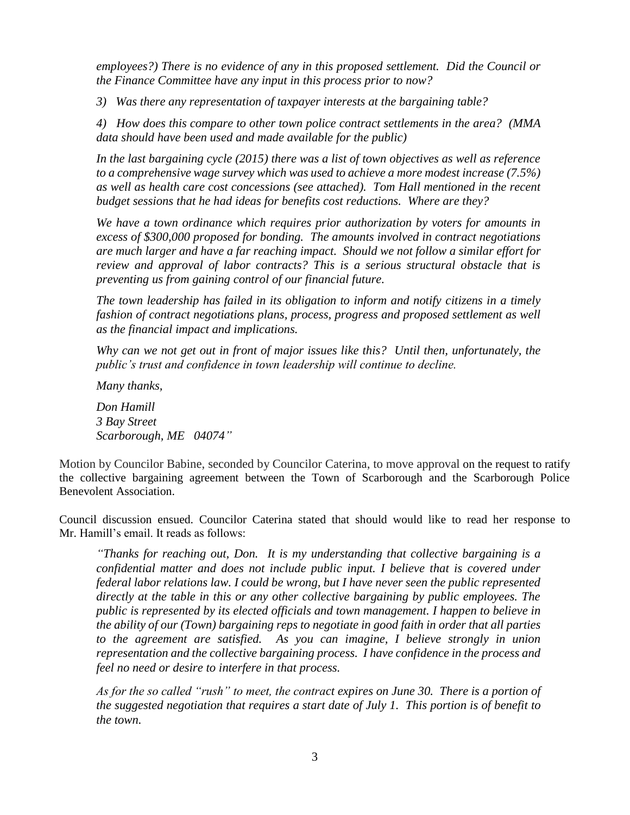*employees?) There is no evidence of any in this proposed settlement. Did the Council or the Finance Committee have any input in this process prior to now?*

*3) Was there any representation of taxpayer interests at the bargaining table?*

*4) How does this compare to other town police contract settlements in the area? (MMA data should have been used and made available for the public)*

*In the last bargaining cycle (2015) there was a list of town objectives as well as reference to a comprehensive wage survey which was used to achieve a more modest increase (7.5%) as well as health care cost concessions (see attached). Tom Hall mentioned in the recent budget sessions that he had ideas for benefits cost reductions. Where are they?*

*We have a town ordinance which requires prior authorization by voters for amounts in excess of \$300,000 proposed for bonding. The amounts involved in contract negotiations are much larger and have a far reaching impact. Should we not follow a similar effort for review and approval of labor contracts? This is a serious structural obstacle that is preventing us from gaining control of our financial future.*

*The town leadership has failed in its obligation to inform and notify citizens in a timely fashion of contract negotiations plans, process, progress and proposed settlement as well as the financial impact and implications.*

*Why can we not get out in front of major issues like this? Until then, unfortunately, the public's trust and confidence in town leadership will continue to decline.*

*Many thanks,*

*Don Hamill 3 Bay Street Scarborough, ME 04074"*

Motion by Councilor Babine, seconded by Councilor Caterina, to move approval on the request to ratify the collective bargaining agreement between the Town of Scarborough and the Scarborough Police Benevolent Association.

Council discussion ensued. Councilor Caterina stated that should would like to read her response to Mr. Hamill's email. It reads as follows:

*"Thanks for reaching out, Don. It is my understanding that collective bargaining is a confidential matter and does not include public input. I believe that is covered under federal labor relations law. I could be wrong, but I have never seen the public represented directly at the table in this or any other collective bargaining by public employees. The public is represented by its elected officials and town management. I happen to believe in the ability of our (Town) bargaining reps to negotiate in good faith in order that all parties to the agreement are satisfied. As you can imagine, I believe strongly in union representation and the collective bargaining process. I have confidence in the process and feel no need or desire to interfere in that process.*

*As for the so called "rush" to meet, the contract expires on June 30. There is a portion of the suggested negotiation that requires a start date of July 1. This portion is of benefit to the town.*